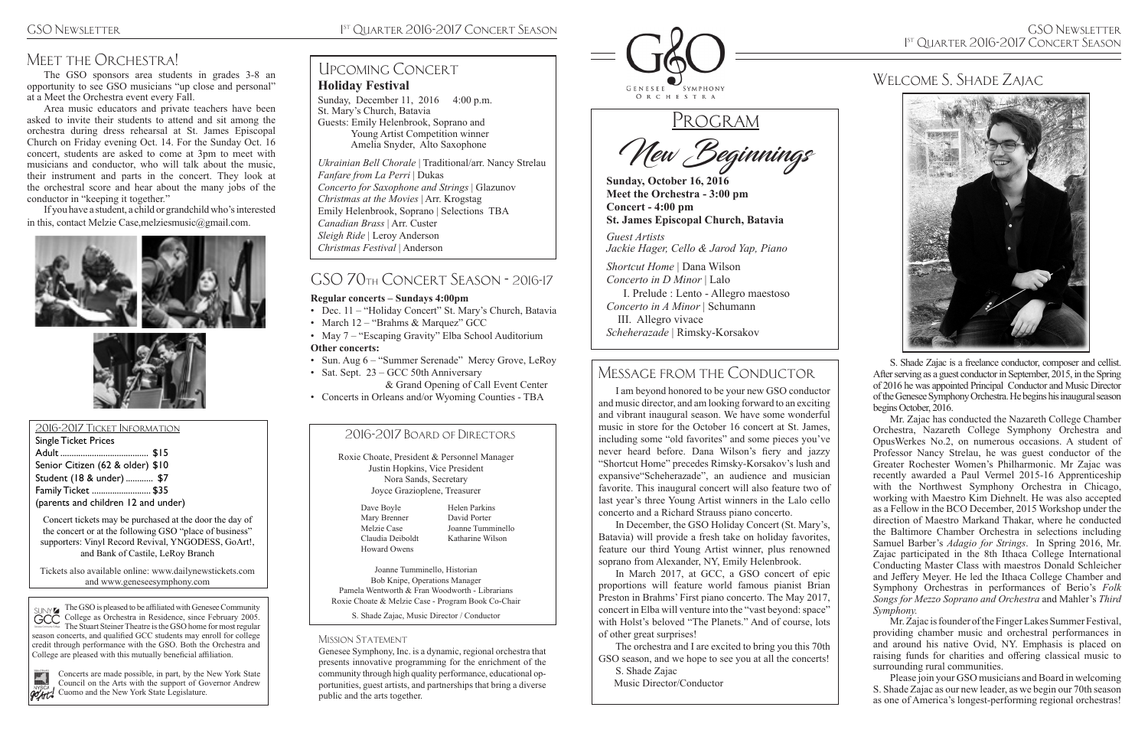## MEET THE ORCHESTRA!

The GSO is pleased to be affiliated with Genesee Community College as Orchestra in Residence, since February 2005. The Stuart Steiner Theatre is the GSO home for most regular season concerts, and qualified GCC students may enroll for college credit through performance with the GSO. Both the Orchestra and College are pleased with this mutually beneficial affiliation.



New Beginnings

**Sunday, October 16, 2016 Meet the Orchestra - 3:00 pm Concert - 4:00 pm St. James Episcopal Church, Batavia**

*Guest Artists Jackie Hager, Cello & Jarod Yap, Piano* 

*Shortcut Home* | Dana Wilson *Concerto in D Minor* | Lalo I. Prelude : Lento - Allegro maestoso *Concerto in A Minor* | Schumann III. Allegro vivace *Scheherazade* | Rimsky-Korsakov

#### 2016-2017 Ticket Information

Concerts are made possible, in part, by the New York State Council on the Arts with the support of Governor Andrew **POATL** Cuomo and the New York State Legislature.

| <b>Single Ticket Prices</b>         |  |
|-------------------------------------|--|
|                                     |  |
| Senior Citizen (62 & older) \$10    |  |
| Student (18 & under)  \$7           |  |
| Family Ticket  \$35                 |  |
| (parents and children 12 and under) |  |

Concert tickets may be purchased at the door the day of the concert or at the following GSO "place of business" supporters: Vinyl Record Revival, YNGODESS, GoArt!, and Bank of Castile, LeRoy Branch

Tickets also available online: www.dailynewstickets.com and www.geneseesymphony.com

> Genesee Symphony, Inc. is a dynamic, regional orchestra that presents innovative programming for the enrichment of the community through high quality performance, educational opportunities, guest artists, and partnerships that bring a diverse public and the arts together.



# PROGRAM

The orchestra and I are excited to bring you this 70th GSO season, and we hope to see you at all the concerts!

#### 2016-2017 Board of Directors

Roxie Choate, President & Personnel Manager Justin Hopkins, Vice President Nora Sands, Secretary Joyce Grazioplene, Treasurer

Joanne Tumminello, Historian Bob Knipe, Operations Manager Pamela Wentworth & Fran Woodworth - Librarians Roxie Choate & Melzie Case - Program Book Co-Chair

S. Shade Zajac, Music Director / Conductor

#### MISSION STATEMENT

Dave Boyle Mary Brenner Melzie Case Claudia Deiboldt Howard Owens

Sunday, December 11, 2016 4:00 p.m. St. Mary's Church, Batavia Guests: Emily Helenbrook, Soprano and Young Artist Competition winner Amelia Snyder, Alto Saxophone

> Helen Parkins David Porter Joanne Tumminello Katharine Wilson

### Message from the Conductor

• May 7 – "Escaping Gravity" Elba School Auditorium **Other concerts:**

> I am beyond honored to be your new GSO conductor and music director, and am looking forward to an exciting and vibrant inaugural season. We have some wonderful music in store for the October 16 concert at St. James, including some "old favorites" and some pieces you've never heard before. Dana Wilson's fiery and jazzy "Shortcut Home" precedes Rimsky-Korsakov's lush and expansive"Scheherazade", an audience and musician favorite. This inaugural concert will also feature two of last year's three Young Artist winners in the Lalo cello concerto and a Richard Strauss piano concerto.

> In December, the GSO Holiday Concert (St. Mary's, Batavia) will provide a fresh take on holiday favorites, feature our third Young Artist winner, plus renowned soprano from Alexander, NY, Emily Helenbrook.

> In March 2017, at GCC, a GSO concert of epic proportions will feature world famous pianist Brian Preston in Brahms' First piano concerto. The May 2017, concert in Elba will venture into the "vast beyond: space" with Holst's beloved "The Planets." And of course, lots of other great surprises!

S. Shade Zajac

Music Director/Conductor

The GSO sponsors area students in grades 3-8 an opportunity to see GSO musicians "up close and personal" at a Meet the Orchestra event every Fall.

Area music educators and private teachers have been asked to invite their students to attend and sit among the orchestra during dress rehearsal at St. James Episcopal Church on Friday evening Oct. 14. For the Sunday Oct. 16 concert, students are asked to come at 3pm to meet with musicians and conductor, who will talk about the music, their instrument and parts in the concert. They look at the orchestral score and hear about the many jobs of the conductor in "keeping it together."

If you have a student, a child or grandchild who's interested in this, contact Melzie Case,melziesmusic@gmail.com.





#### **Holiday Festival**

*Ukrainian Bell Chorale* | Traditional/arr. Nancy Strelau *Fanfare from La Perri* | Dukas *Concerto for Saxophone and Strings* | Glazunov *Christmas at the Movies* | Arr. Krogstag Emily Helenbrook, Soprano | Selections TBA *Canadian Brass* | Arr. Custer *Sleigh Ride* | Leroy Anderson *Christmas Festival* | Anderson

### Upcoming Concert

## GSO 70th Concert Season - 2016-17

#### **Regular concerts – Sundays 4:00pm**

- Dec. 11 "Holiday Concert" St. Mary's Church, Batavia
- March 12 "Brahms & Marquez" GCC

- Sun. Aug 6 "Summer Serenade" Mercy Grove, LeRoy
- Sat. Sept. 23 GCC 50th Anniversary & Grand Opening of Call Event Center
- Concerts in Orleans and/or Wyoming Counties TBA

S. Shade Zajac is a freelance conductor, composer and cellist. After serving as a guest conductor in September, 2015, in the Spring of 2016 he was appointed Principal Conductor and Music Director of the Genesee Symphony Orchestra. He begins his inaugural season begins October, 2016.

Mr. Zajac has conducted the Nazareth College Chamber Orchestra, Nazareth College Symphony Orchestra and OpusWerkes No.2, on numerous occasions. A student of Professor Nancy Strelau, he was guest conductor of the Greater Rochester Women's Philharmonic. Mr Zajac was recently awarded a Paul Vermel 2015-16 Apprenticeship with the Northwest Symphony Orchestra in Chicago, working with Maestro Kim Diehnelt. He was also accepted as a Fellow in the BCO December, 2015 Workshop under the direction of Maestro Markand Thakar, where he conducted the Baltimore Chamber Orchestra in selections including Samuel Barber's *Adagio for Strings*. In Spring 2016, Mr. Zajac participated in the 8th Ithaca College International Conducting Master Class with maestros Donald Schleicher and Jeffery Meyer. He led the Ithaca College Chamber and Symphony Orchestras in performances of Berio's *Folk Songs for Mezzo Soprano and Orchestra* and Mahler's *Third Symphony.*

Mr. Zajac is founder of the Finger Lakes Summer Festival, providing chamber music and orchestral performances in and around his native Ovid, NY. Emphasis is placed on raising funds for charities and offering classical music to surrounding rural communities.

Please join your GSO musicians and Board in welcoming S. Shade Zajac as our new leader, as we begin our 70th season as one of America's longest-performing regional orchestras!

# Welcome S. Shade Zajac